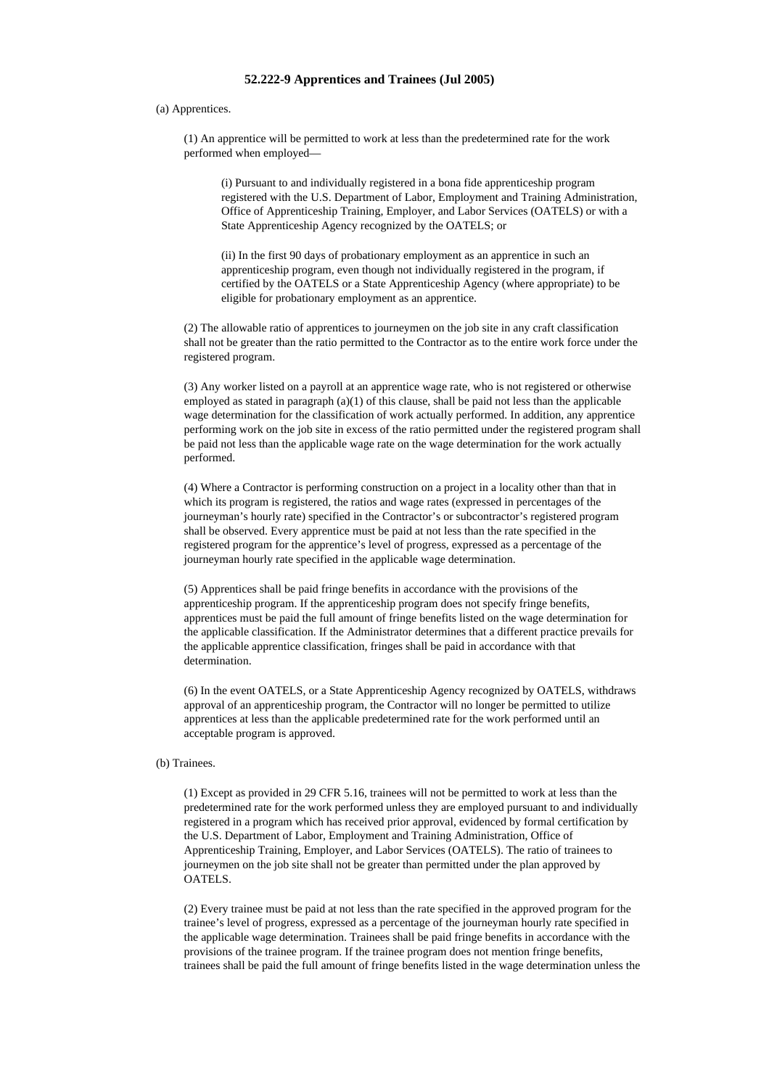## **52.222-9 Apprentices and Trainees (Jul 2005)**

## (a) Apprentices.

(1) An apprentice will be permitted to work at less than the predetermined rate for the work performed when employed—

(i) Pursuant to and individually registered in a bona fide apprenticeship program registered with the U.S. Department of Labor, Employment and Training Administration, Office of Apprenticeship Training, Employer, and Labor Services (OATELS) or with a State Apprenticeship Agency recognized by the OATELS; or

(ii) In the first 90 days of probationary employment as an apprentice in such an apprenticeship program, even though not individually registered in the program, if certified by the OATELS or a State Apprenticeship Agency (where appropriate) to be eligible for probationary employment as an apprentice.

(2) The allowable ratio of apprentices to journeymen on the job site in any craft classification shall not be greater than the ratio permitted to the Contractor as to the entire work force under the registered program.

(3) Any worker listed on a payroll at an apprentice wage rate, who is not registered or otherwise employed as stated in paragraph  $(a)(1)$  of this clause, shall be paid not less than the applicable wage determination for the classification of work actually performed. In addition, any apprentice performing work on the job site in excess of the ratio permitted under the registered program shall be paid not less than the applicable wage rate on the wage determination for the work actually performed.

(4) Where a Contractor is performing construction on a project in a locality other than that in which its program is registered, the ratios and wage rates (expressed in percentages of the journeyman's hourly rate) specified in the Contractor's or subcontractor's registered program shall be observed. Every apprentice must be paid at not less than the rate specified in the registered program for the apprentice's level of progress, expressed as a percentage of the journeyman hourly rate specified in the applicable wage determination.

(5) Apprentices shall be paid fringe benefits in accordance with the provisions of the apprenticeship program. If the apprenticeship program does not specify fringe benefits, apprentices must be paid the full amount of fringe benefits listed on the wage determination for the applicable classification. If the Administrator determines that a different practice prevails for the applicable apprentice classification, fringes shall be paid in accordance with that determination.

(6) In the event OATELS, or a State Apprenticeship Agency recognized by OATELS, withdraws approval of an apprenticeship program, the Contractor will no longer be permitted to utilize apprentices at less than the applicable predetermined rate for the work performed until an acceptable program is approved.

## (b) Trainees.

(1) Except as provided in 29 CFR 5.16, trainees will not be permitted to work at less than the predetermined rate for the work performed unless they are employed pursuant to and individually registered in a program which has received prior approval, evidenced by formal certification by the U.S. Department of Labor, Employment and Training Administration, Office of Apprenticeship Training, Employer, and Labor Services (OATELS). The ratio of trainees to journeymen on the job site shall not be greater than permitted under the plan approved by OATELS.

(2) Every trainee must be paid at not less than the rate specified in the approved program for the trainee's level of progress, expressed as a percentage of the journeyman hourly rate specified in the applicable wage determination. Trainees shall be paid fringe benefits in accordance with the provisions of the trainee program. If the trainee program does not mention fringe benefits, trainees shall be paid the full amount of fringe benefits listed in the wage determination unless the